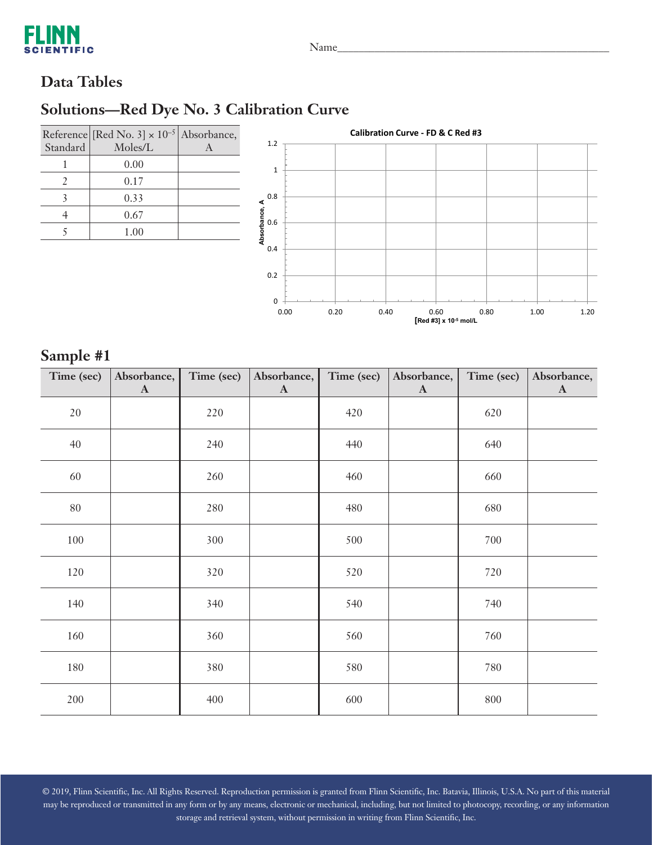### **Data Tables**

## **Solutions—Red Dye No. 3 Calibration Curve**

| Standard | Reference [Red No. 3] $\times 10^{-5}$ ]<br>Moles/L | Absorbance, |
|----------|-----------------------------------------------------|-------------|
|          | 0.00                                                |             |
|          | 0.17                                                |             |
|          | 0.33                                                |             |
|          | 0.67                                                |             |
|          | 1.00                                                |             |



#### **Sample #1**

| Time (sec) | Absorbance,<br>$\mathbf{A}$ | Time (sec) | Absorbance,<br>$\mathbf{A}$ | Time (sec) | Absorbance,<br>$\mathbf{A}$ | Time (sec) | Absorbance,<br>$\mathbf{A}$ |
|------------|-----------------------------|------------|-----------------------------|------------|-----------------------------|------------|-----------------------------|
| $20\,$     |                             | 220        |                             | 420        |                             | 620        |                             |
| $40\,$     |                             | 240        |                             | 440        |                             | 640        |                             |
| 60         |                             | 260        |                             | 460        |                             | 660        |                             |
| $80\,$     |                             | 280        |                             | 480        |                             | 680        |                             |
| $100\,$    |                             | 300        |                             | 500        |                             | 700        |                             |
| 120        |                             | 320        |                             | 520        |                             | 720        |                             |
| 140        |                             | 340        |                             | 540        |                             | 740        |                             |
| 160        |                             | 360        |                             | 560        |                             | 760        |                             |
| 180        |                             | 380        |                             | 580        |                             | 780        |                             |
| 200        |                             | 400        |                             | 600        |                             | 800        |                             |

© 2019, Flinn Scientific, Inc. All Rights Reserved. Reproduction permission is granted from Flinn Scientific, Inc. Batavia, Illinois, U.S.A. No part of this material may be reproduced or transmitted in any form or by any means, electronic or mechanical, including, but not limited to photocopy, recording, or any information storage and retrieval system, without permission in writing from Flinn Scientific, Inc.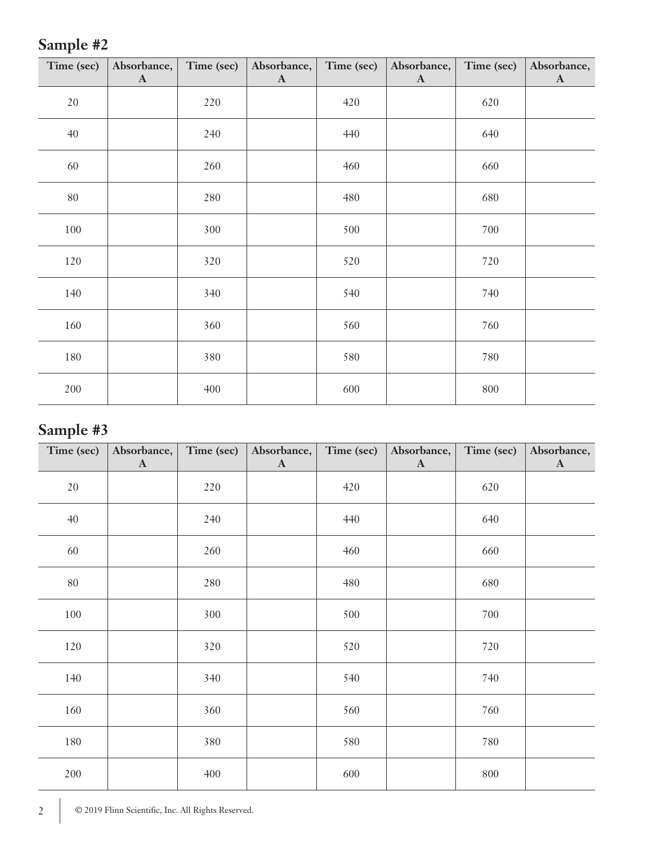# **Sample #2**

| Time (sec) | Absorbance,<br>$\mathbf{A}$ | Time (sec) | Absorbance,<br>$\mathbf{A}$ | Time (sec) | Absorbance,<br>$\mathbf{A}$ | Time (sec) | Absorbance,<br>$\mathbf{A}$ |
|------------|-----------------------------|------------|-----------------------------|------------|-----------------------------|------------|-----------------------------|
| $20\,$     |                             | 220        |                             | 420        |                             | 620        |                             |
| $40\,$     |                             | 240        |                             | 440        |                             | 640        |                             |
| $60\,$     |                             | 260        |                             | 460        |                             | 660        |                             |
| $80\,$     |                             | 280        |                             | 480        |                             | 680        |                             |
| $100\,$    |                             | 300        |                             | 500        |                             | 700        |                             |
| 120        |                             | 320        |                             | 520        |                             | 720        |                             |
| 140        |                             | 340        |                             | 540        |                             | 740        |                             |
| $160\,$    |                             | 360        |                             | 560        |                             | 760        |                             |
| $180\,$    |                             | 380        |                             | 580        |                             | 780        |                             |
| 200        |                             | 400        |                             | 600        |                             | 800        |                             |

# **Sample #3**

| Time (sec) | Absorbance,<br>$\mathbf{A}$ | Time (sec) | Absorbance,<br>$\mathbf{A}$ | Time (sec) | Absorbance,<br>$\mathbf{A}$ | Time (sec) | Absorbance,<br>$\mathbf{A}$ |
|------------|-----------------------------|------------|-----------------------------|------------|-----------------------------|------------|-----------------------------|
| $20\,$     |                             | 220        |                             | 420        |                             | 620        |                             |
| 40         |                             | 240        |                             | 440        |                             | 640        |                             |
| 60         |                             | 260        |                             | 460        |                             | 660        |                             |
| $80\,$     |                             | 280        |                             | 480        |                             | 680        |                             |
| $100\,$    |                             | 300        |                             | 500        |                             | 700        |                             |
| 120        |                             | 320        |                             | 520        |                             | 720        |                             |
| 140        |                             | 340        |                             | 540        |                             | 740        |                             |
| $160\,$    |                             | 360        |                             | 560        |                             | 760        |                             |
| 180        |                             | 380        |                             | 580        |                             | 780        |                             |
| 200        |                             | 400        |                             | 600        |                             | 800        |                             |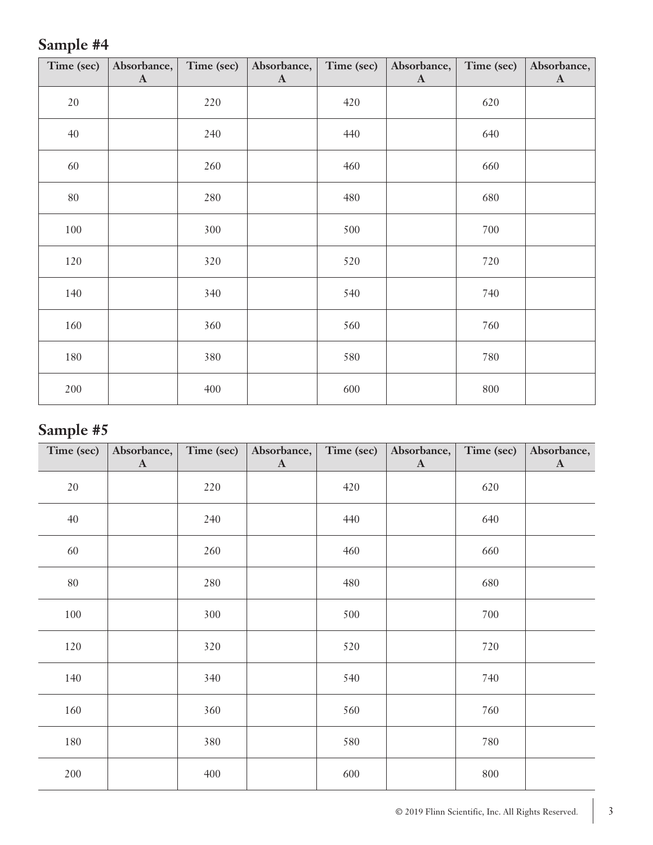# **Sample #4**

| Time (sec) | Absorbance,<br>$\mathbf{A}$ | Time (sec) | Absorbance,<br>$\mathbf{A}$ | Time (sec) | Absorbance,<br>$\mathbf{A}$ | Time (sec) | Absorbance,<br>$\mathbf{A}$ |
|------------|-----------------------------|------------|-----------------------------|------------|-----------------------------|------------|-----------------------------|
| $20\,$     |                             | 220        |                             | 420        |                             | 620        |                             |
| $40\,$     |                             | 240        |                             | 440        |                             | 640        |                             |
| $60\,$     |                             | 260        |                             | 460        |                             | 660        |                             |
| $80\,$     |                             | 280        |                             | 480        |                             | 680        |                             |
| 100        |                             | 300        |                             | 500        |                             | $700\,$    |                             |
| 120        |                             | 320        |                             | 520        |                             | 720        |                             |
| 140        |                             | 340        |                             | 540        |                             | 740        |                             |
| 160        |                             | 360        |                             | 560        |                             | 760        |                             |
| 180        |                             | 380        |                             | 580        |                             | 780        |                             |
| 200        |                             | 400        |                             | 600        |                             | 800        |                             |

# **Sample #5**

| Time (sec) | Absorbance,<br>$\mathbf{A}$ | Time (sec) | Absorbance,<br>$\mathbf{A}$ | Time (sec) | Absorbance,<br>$\mathbf{A}$ | Time (sec) | Absorbance,<br>$\mathbf{A}$ |
|------------|-----------------------------|------------|-----------------------------|------------|-----------------------------|------------|-----------------------------|
| $20\,$     |                             | 220        |                             | 420        |                             | 620        |                             |
| $40\,$     |                             | 240        |                             | 440        |                             | 640        |                             |
| 60         |                             | 260        |                             | 460        |                             | 660        |                             |
| $80\,$     |                             | 280        |                             | 480        |                             | 680        |                             |
| $100\,$    |                             | 300        |                             | 500        |                             | 700        |                             |
| 120        |                             | 320        |                             | 520        |                             | 720        |                             |
| 140        |                             | 340        |                             | 540        |                             | 740        |                             |
| 160        |                             | 360        |                             | 560        |                             | 760        |                             |
| $180\,$    |                             | 380        |                             | 580        |                             | 780        |                             |
| 200        |                             | 400        |                             | 600        |                             | 800        |                             |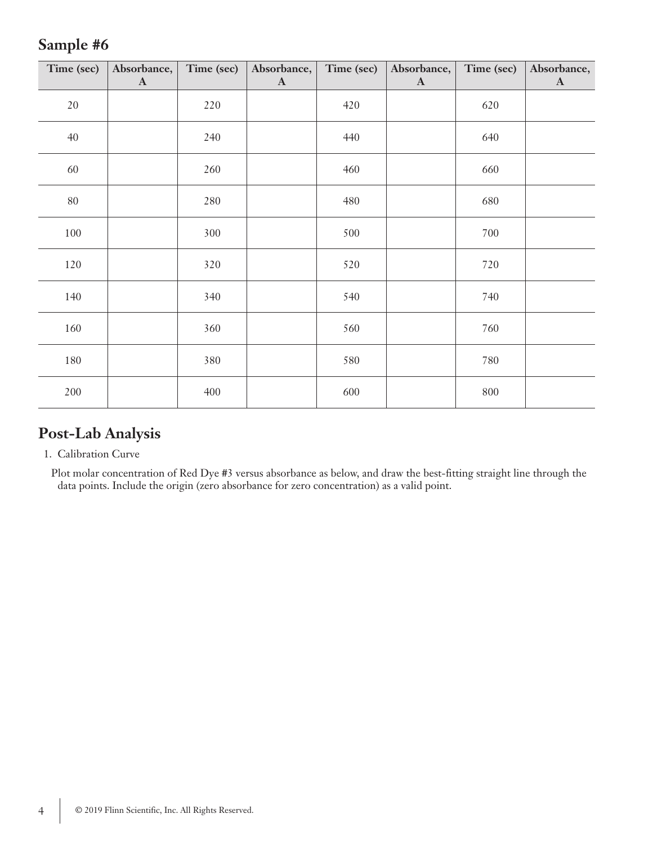#### **Sample #6**

| Time (sec) | Absorbance,<br>$\mathbf{A}$ | Time (sec) | Absorbance,<br>$\mathbf{A}$ | Time (sec) | Absorbance,<br>$\mathbf{A}$ | Time (sec) | Absorbance,<br>$\mathbf{A}$ |
|------------|-----------------------------|------------|-----------------------------|------------|-----------------------------|------------|-----------------------------|
| $20\,$     |                             | 220        |                             | 420        |                             | 620        |                             |
| $40\,$     |                             | 240        |                             | 440        |                             | 640        |                             |
| 60         |                             | 260        |                             | 460        |                             | 660        |                             |
| $80\,$     |                             | 280        |                             | 480        |                             | 680        |                             |
| 100        |                             | 300        |                             | 500        |                             | 700        |                             |
| 120        |                             | 320        |                             | 520        |                             | 720        |                             |
| 140        |                             | 340        |                             | 540        |                             | 740        |                             |
| 160        |                             | 360        |                             | 560        |                             | 760        |                             |
| 180        |                             | 380        |                             | 580        |                             | 780        |                             |
| 200        |                             | 400        |                             | 600        |                             | 800        |                             |

### **Post-Lab Analysis**

1. Calibration Curve

Plot molar concentration of Red Dye #3 versus absorbance as below, and draw the best-fitting straight line through the data points. Include the origin (zero absorbance for zero concentration) as a valid point.